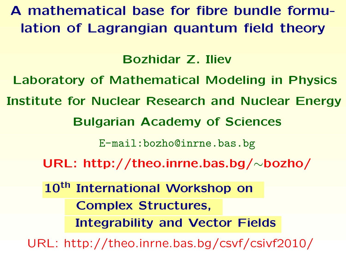A mathematical base for fibre bundle formulation of Lagrangian quantum field theory

Bozhidar Z. Iliev

Laboratory of Mathematical Modeling in Physics

Institute for Nuclear Research and Nuclear Energy

Bulgarian Academy of Sciences

[E-mail:bozho@inrne.bas.bg](E-mail: bozho@inrne.bas.bg)

[URL: http://theo.inrne.bas.bg/](http://theo.inrne.bas.bg/~bozho/)∼bozho/

10<sup>th</sup> International Workshop on Complex Structures, Integrability and Vector Fields

[URL: http://theo.inrne.bas.bg/csvf/csivf2010/](http://theo.inrne.bas.bg/csvf/csivf2010/)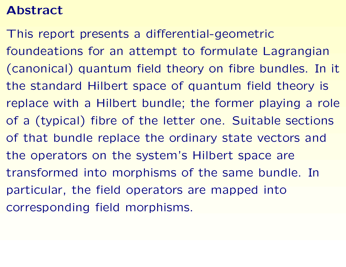## Abstract

This report presents a differential-geometric foundeations for an attempt to formulate Lagrangian (canonical) quantum field theory on fibre bundles. In it the standard Hilbert space of quantum field theory is replace with a Hilbert bundle; the former playing a role of a (typical) fibre of the letter one. Suitable sections of that bundle replace the ordinary state vectors and the operators on the system's Hilbert space are transformed into morphisms of the same bundle. In particular, the field operators are mapped into corresponding field morphisms.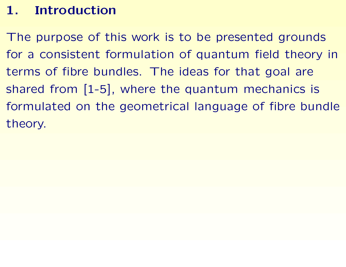# 1. Introduction

The purpose of this work is to be presented grounds for a consistent formulation of quantum field theory in terms of fibre bundles. The ideas for that goal are shared from [1-5], where the quantum mechanics is formulated on the geometrical language of fibre bundle theory.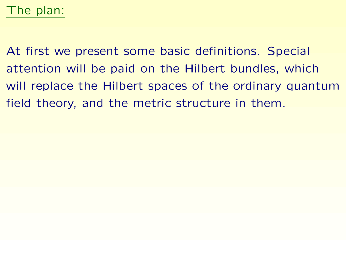## The plan:

At first we present some basic definitions. Special attention will be paid on the Hilbert bundles, which will replace the Hilbert spaces of the ordinary quantum field theory, and the metric structure in them.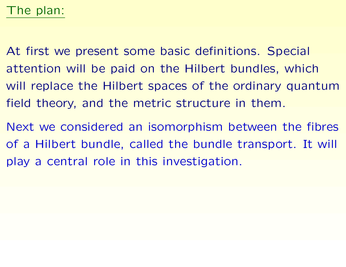At first we present some basic definitions. Special attention will be paid on the Hilbert bundles, which will replace the Hilbert spaces of the ordinary quantum field theory, and the metric structure in them.

Next we considered an isomorphism between the fibres of a Hilbert bundle, called the bundle transport. It will play a central role in this investigation.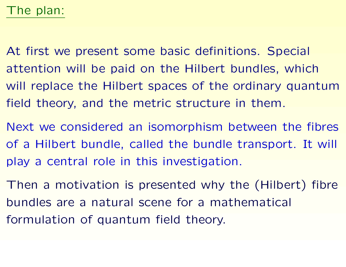At first we present some basic definitions. Special attention will be paid on the Hilbert bundles, which will replace the Hilbert spaces of the ordinary quantum field theory, and the metric structure in them.

Next we considered an isomorphism between the fibres of a Hilbert bundle, called the bundle transport. It will play a central role in this investigation.

Then a motivation is presented why the (Hilbert) fibre bundles are a natural scene for a mathematical formulation of quantum field theory.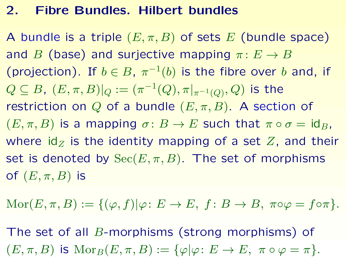## 2. Fibre Bundles. Hilbert bundles

A bundle is a triple  $(E, \pi, B)$  of sets E (bundle space) and B (base) and surjective mapping  $\pi: E \to B$ (projection). If  $b \in B$ ,  $\pi^{-1}(b)$  is the fibre over b and, if  $Q \subseteq B$ ,  $(E, \pi, B)|_Q := (\pi^{-1}(Q), \pi|_{\pi^{-1}(Q)}, Q)$  is the restriction on Q of a bundle  $(E, \pi, B)$ . A section of  $(E, \pi, B)$  is a mapping  $\sigma: B \to E$  such that  $\pi \circ \sigma = id_B$ , where  $\mathrm{id}_Z$  is the identity mapping of a set Z, and their set is denoted by  $\operatorname{Sec}(E,\pi,B)$ . The set of morphisms of  $(E, \pi, B)$  is

 $\text{Mor}(E, \pi, B) := \{(\varphi, f) | \varphi: E \to E, f: B \to B, \pi \circ \varphi = f \circ \pi\}.$ 

The set of all *B*-morphisms (strong morphisms) of  $(E, \pi, B)$  is  ${\rm Mor}_B(E, \pi, B) := {\varphi | \varphi : E \to E, \ \pi \circ \varphi = \pi}.$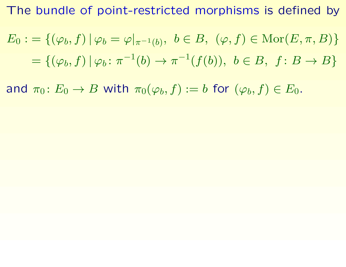The bundle of point-restricted morphisms is defined by

$$
E_0 := \{ (\varphi_b, f) \mid \varphi_b = \varphi|_{\pi^{-1}(b)}, \ b \in B, \ (\varphi, f) \in \text{Mor}(E, \pi, B) \}
$$
  
=  $\{ (\varphi_b, f) \mid \varphi_b : \pi^{-1}(b) \to \pi^{-1}(f(b)), \ b \in B, \ f \colon B \to B \}$ 

and  $\pi_0\colon E_0\to B$  with  $\pi_0(\varphi_b, f):=b$  for  $(\varphi_b, f)\in E_0$ .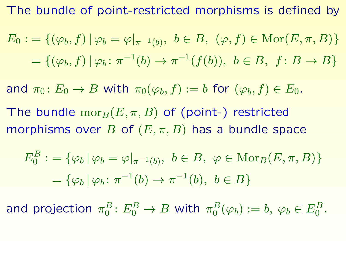The bundle of point-restricted morphisms is defined by

$$
E_0 := \{ (\varphi_b, f) \mid \varphi_b = \varphi|_{\pi^{-1}(b)}, \ b \in B, \ (\varphi, f) \in \text{Mor}(E, \pi, B) \}
$$
  
=  $\{ (\varphi_b, f) \mid \varphi_b : \pi^{-1}(b) \to \pi^{-1}(f(b)), \ b \in B, \ f \colon B \to B \}$ 

and  $\pi_0\colon E_0\to B$  with  $\pi_0(\varphi_b, f):=b$  for  $(\varphi_b, f)\in E_0$ .

The bundle  $\mathrm{mor}_B(E, \pi, B)$  of (point-) restricted morphisms over B of  $(E, \pi, B)$  has a bundle space

$$
E_0^B := \{ \varphi_b \, | \, \varphi_b = \varphi|_{\pi^{-1}(b)}, \ b \in B, \ \varphi \in \text{Mor}_B(E, \pi, B) \}
$$

$$
= \{ \varphi_b \, | \, \varphi_b \colon \pi^{-1}(b) \to \pi^{-1}(b), \ b \in B \}
$$

and projection  $\pi_0^B$  $\frac{B}{0}\colon E_0^B\to B$  with  $\pi_0^B$  $_0^B(\varphi_b):=b,\ \varphi_b\in E_0^B.$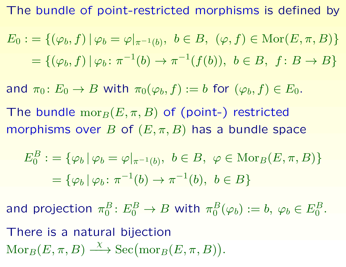The bundle of point-restricted morphisms is defined by

$$
E_0 := \{ (\varphi_b, f) \mid \varphi_b = \varphi|_{\pi^{-1}(b)}, \ b \in B, \ (\varphi, f) \in \text{Mor}(E, \pi, B) \}
$$
  
=  $\{ (\varphi_b, f) \mid \varphi_b : \pi^{-1}(b) \to \pi^{-1}(f(b)), \ b \in B, \ f \colon B \to B \}$ 

and  $\pi_0\colon E_0\to B$  with  $\pi_0(\varphi_b, f):=b$  for  $(\varphi_b, f)\in E_0$ .

The bundle  $\mathrm{mor}_B(E, \pi, B)$  of (point-) restricted morphisms over B of  $(E, \pi, B)$  has a bundle space

$$
E_0^B := \{ \varphi_b \, | \, \varphi_b = \varphi|_{\pi^{-1}(b)}, \, b \in B, \, \varphi \in \text{Mor}_B(E, \pi, B) \}
$$

$$
= \{ \varphi_b \, | \, \varphi_b \colon \pi^{-1}(b) \to \pi^{-1}(b), \, b \in B \}
$$

and projection  $\pi_0^B$  $\frac{B}{0}\colon E_0^B\to B$  with  $\pi_0^B$  $_0^B(\varphi_b):=b,\ \varphi_b\in E_0^B.$ 

There is a natural bijection  $\operatorname{Mor}_B(E,\pi,B)$  $\overline{\chi}$  $\longrightarrow$  Sec(mor<sub>B</sub>(E,  $\pi$ , B)).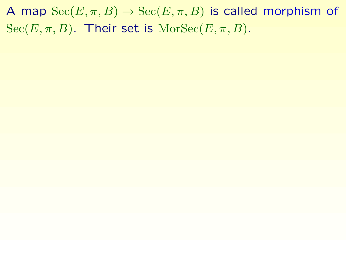A map  $\text{Sec}(E, \pi, B) \to \text{Sec}(E, \pi, B)$  is called morphism of  $Sec(E, \pi, B)$ . Their set is  $MorSec(E, \pi, B)$ .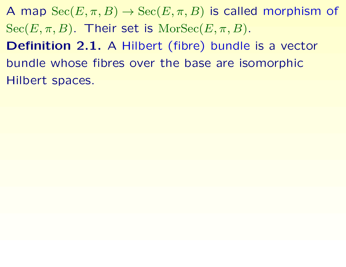A map  $\text{Sec}(E, \pi, B) \to \text{Sec}(E, \pi, B)$  is called morphism of  $Sec(E, \pi, B)$ . Their set is  $MorSec(E, \pi, B)$ . Definition 2.1. A Hilbert (fibre) bundle is a vector bundle whose fibres over the base are isomorphic Hilbert spaces.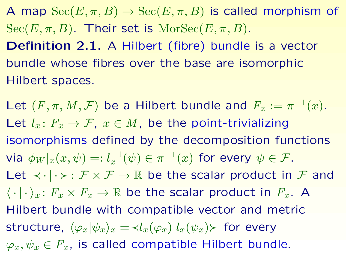A map  $\text{Sec}(E, \pi, B) \to \text{Sec}(E, \pi, B)$  is called morphism of  $Sec(E, \pi, B)$ . Their set is  $MorSec(E, \pi, B)$ . Definition 2.1. A Hilbert (fibre) bundle is a vector bundle whose fibres over the base are isomorphic Hilbert spaces.

Let  $(F, \pi, M, \mathcal{F})$  be a Hilbert bundle and  $F_x := \pi^{-1}(x)$ . Let  $l_x\colon F_x\to\mathcal{F}$ ,  $x\in M$ , be the point-trivializing isomorphisms defined by the decomposition functions via  $\phi_W|_x(x,\psi)=:l_x^{-1}$  $\pi^{-1}(\psi)\in \pi^{-1}(x)$  for every  $\psi\in \mathcal{F}.$ Let  $\prec \cdot | \cdot \succ : \mathcal{F} \times \mathcal{F} \to \mathbb{R}$  be the scalar product in  $\mathcal{F}$  and  $\langle \cdot | \cdot \rangle_x : F_x \times F_x \to \mathbb{R}$  be the scalar product in  $F_x$ . A Hilbert bundle with compatible vector and metric structure,  $\langle \varphi_x | \psi_x \rangle_x = \langle l_x(\varphi_x) | l_x(\psi_x) \rangle$  for every  $\varphi_x, \psi_x \in F_x$ , is called compatible Hilbert bundle.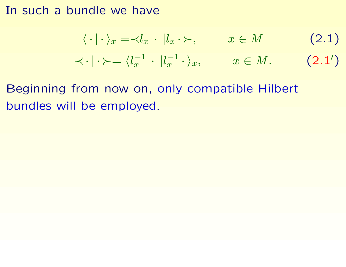#### In such a bundle we have

<span id="page-13-0"></span>
$$
\langle \cdot | \cdot \rangle_x = \langle l_x | \cdot | l_x \cdot \rangle, \qquad x \in M \tag{2.1}
$$
  

$$
\langle \cdot | \cdot \rangle = \langle l_x^{-1} | \cdot | l_x^{-1} \cdot \rangle_x, \qquad x \in M. \tag{2.1'}
$$

Beginning from now on, only compatible Hilbert bundles will be employed.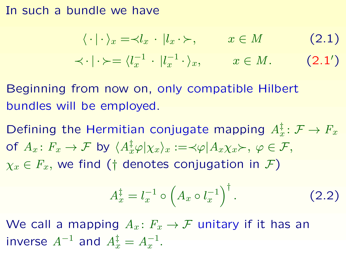#### In such a bundle we have

$$
\langle \cdot | \cdot \rangle_x = \langle l_x | \cdot | l_x \cdot \rangle, \qquad x \in M \tag{2.1}
$$
  

$$
\langle \cdot | \cdot \rangle = \langle l_x^{-1} | \cdot | l_x^{-1} \cdot \rangle_x, \qquad x \in M. \tag{2.1'}
$$

Beginning from now on, only compatible Hilbert bundles will be employed.

Defining the Hermitian conjugate mapping  $A_x^{\ddagger} \colon \mathcal{F} \to F_x$ of  $A_x\colon F_x\to \mathcal{F}$  by  $\langle A_x^\ddagger\varphi|\chi_x\rangle_x:=\prec\varphi|A_x\chi_x\succ,\ \varphi\in\mathcal{F},$  $\chi_x \in F_x$ , we find († denotes conjugation in F)

$$
A_x^{\ddagger} = l_x^{-1} \circ \left( A_x \circ l_x^{-1} \right)^{\dagger} . \tag{2.2}
$$

We call a mapping  $A_x\colon F_x\to\mathcal{F}$  unitary if it has an inverse  $A^{-1}$  and  $A_x^{\dagger} = A_x^{-1}$ .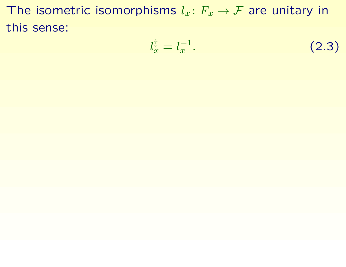The isometric isomorphisms  $l_x: F_x \to \mathcal{F}$  are unitary in this sense:

$$
l_x^{\dagger} = l_x^{-1}.\tag{2.3}
$$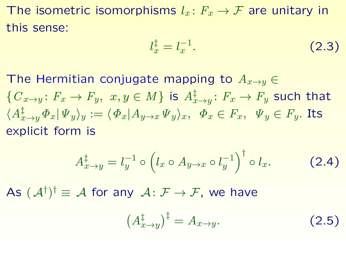The isometric isomorphisms  $l_x: F_x \to \mathcal{F}$  are unitary in this sense:

$$
l_x^{\dagger} = l_x^{-1}.
$$
 (2.3)

The Hermitian conjugate mapping to  $A_{x\to y} \in$  $\{C_{x\to y}\colon F_x\to F_y,\,\,x,y\in M\}$  is  $A_{x\to y}^\ddagger\colon F_x\to F_y$  such that  $\langle A_{x\to y}^{\ddagger}\Phi_x|\Psi_y\rangle_y:=\langle\Phi_x|A_{y\to x}\Psi_y\rangle_x,~~\Phi_x\in F_x,~~\Psi_y\in F_y.$  Its explicit form is

$$
A_{x \to y}^{\ddagger} = l_y^{-1} \circ \left( l_x \circ A_{y \to x} \circ l_y^{-1} \right)^{\dagger} \circ l_x. \tag{2.4}
$$

As  $(\mathcal{A}^{\dagger})^{\dagger} \equiv \mathcal{A}$  for any  $\mathcal{A} \colon \mathcal{F} \to \mathcal{F}$ , we have

$$
\left(A_{x \to y}^{\ddagger}\right)^{\ddagger} = A_{x \to y}.\tag{2.5}
$$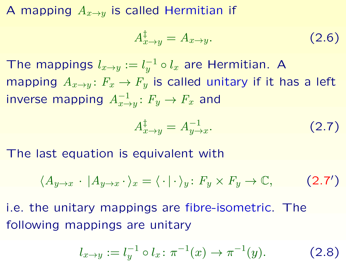A mapping  $A_{x\to y}$  is called Hermitian if

$$
A_{x \to y}^{\ddagger} = A_{x \to y}.
$$
 (2.6)

The mappings  $l_{x\to y} := l_y^{-1}$  $_y^{-1}\circ l_x$  are Hermitian. A mapping  $A_{x\to y}$ :  $F_x \to F_y$  is called unitary if it has a left inverse mapping  $A_{x\to y}^{-1}$ :  $F_y\to F_x$  and

<span id="page-17-0"></span>
$$
A_{x \to y}^{\ddagger} = A_{y \to x}^{-1}.
$$
 (2.7)

The last equation is equivalent with

$$
\langle A_{y \to x} \cdot | A_{y \to x} \cdot \rangle_x = \langle \cdot | \cdot \rangle_y \colon F_y \times F_y \to \mathbb{C}, \tag{2.7'}
$$

i.e. the unitary mappings are fibre-isometric. The following mappings are unitary

$$
l_{x \to y} := l_y^{-1} \circ l_x : \pi^{-1}(x) \to \pi^{-1}(y). \tag{2.8}
$$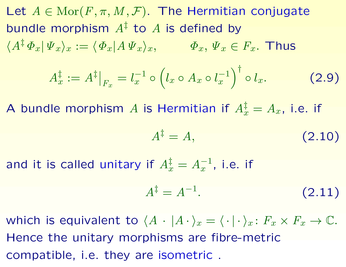Let  $A \in \text{Mor}(F, \pi, M, \mathcal{F})$ . The Hermitian conjugate bundle morphism  $A^{\ddagger}$  to  $A$  is defined by  $\langle A^{\ddagger} \varPhi_x | \varPsi_x \rangle_x := \langle \varPhi_x | A \varPsi_x \rangle_x, \qquad \varPhi_x, \varPsi_x \in F_x.$  Thus  $A_x^{\ddagger}$  $\frac{1}{x} := A^{\ddagger}$  $|F_x$  $= l_x^{-1}$  $x^{-1}$  o  $\sqrt{ }$  $l_x\circ A_x\circ l_x^{-1}$  $\overline{x}$  $\bigwedge^{\dagger}$  $(2.9)$ 

A bundle morphism A is Hermitian if  $A_x^{\ddagger} = A_x$ , i.e. if

$$
A^{\ddagger} = A, \tag{2.10}
$$

and it is called unitary if  $A_x^{\ddagger} = A_x^{-1}$ , i.e. if

$$
A^{\ddagger} = A^{-1}.
$$
 (2.11)

which is equivalent to  $\langle A \cdot | A \cdot \rangle_x = \langle \cdot | \cdot \rangle_x : F_x \times F_x \to \mathbb{C}$ . Hence the unitary morphisms are fibre-metric compatible, i.e. they are isometric .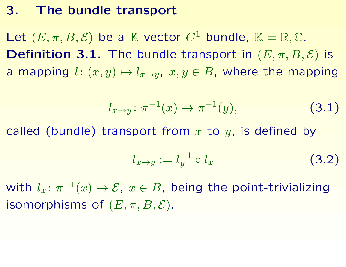#### 3. The bundle transport

Let  $(E, \pi, B, \mathcal{E})$  be a K-vector  $C^1$  bundle,  $K = \mathbb{R}, \mathbb{C}$ . **Definition 3.1.** The bundle transport in  $(E, \pi, B, \mathcal{E})$  is a mapping  $l: (x, y) \mapsto l_{x \to y}$ ,  $x, y \in B$ , where the mapping

$$
l_{x \to y} \colon \pi^{-1}(x) \to \pi^{-1}(y), \tag{3.1}
$$

called (bundle) transport from  $x$  to  $y$ , is defined by

$$
l_{x \to y} := l_y^{-1} \circ l_x \tag{3.2}
$$

with  $l_x\colon\pi^{-1}(x)\to\mathcal{E},\;x\in B,$  being the point-trivializing isomorphisms of  $(E, \pi, B, \mathcal{E})$ .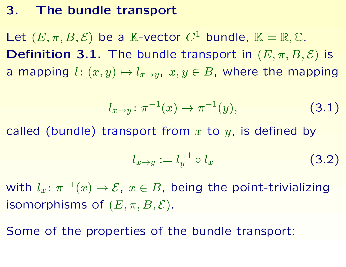#### 3. The bundle transport

Let  $(E, \pi, B, \mathcal{E})$  be a K-vector  $C^1$  bundle,  $K = \mathbb{R}, \mathbb{C}$ . **Definition 3.1.** The bundle transport in  $(E, \pi, B, \mathcal{E})$  is a mapping  $l: (x, y) \mapsto l_{x \to y}$ ,  $x, y \in B$ , where the mapping

$$
l_{x \to y} \colon \pi^{-1}(x) \to \pi^{-1}(y), \tag{3.1}
$$

called (bundle) transport from  $x$  to  $y$ , is defined by

$$
l_{x \to y} := l_y^{-1} \circ l_x \tag{3.2}
$$

with  $l_x\colon\pi^{-1}(x)\to\mathcal{E},\;x\in B,$  being the point-trivializing isomorphisms of  $(E, \pi, B, \mathcal{E})$ .

Some of the properties of the bundle transport: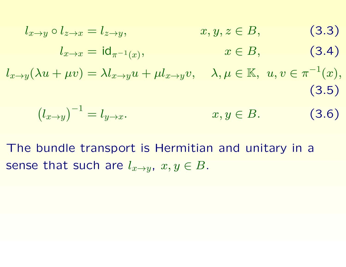$$
l_{x \to y} \circ l_{z \to x} = l_{z \to y}, \qquad x, y, z \in B,
$$
(3.3)  
\n
$$
l_{x \to x} = id_{\pi^{-1}(x)}, \qquad x \in B,
$$
(3.4)  
\n
$$
l_{x \to y}(\lambda u + \mu v) = \lambda l_{x \to y} u + \mu l_{x \to y} v, \quad \lambda, \mu \in \mathbb{K}, \ u, v \in \pi^{-1}(x),
$$
(3.5)  
\n
$$
(l_{x \to y})^{-1} = l_{y \to x}.
$$
(3.6)

The bundle transport is Hermitian and unitary in a sense that such are  $l_{x\to y}$ ,  $x, y \in B$ .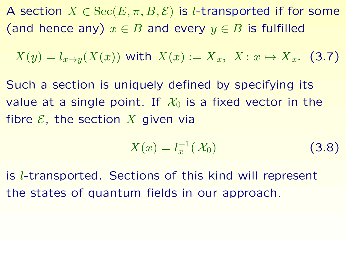A section  $X \in \text{Sec}(E, \pi, B, \mathcal{E})$  is l-transported if for some (and hence any)  $x \in B$  and every  $y \in B$  is fulfilled

$$
X(y) = l_{x \to y}(X(x)) \text{ with } X(x) := X_x, \ X: x \mapsto X_x. \tag{3.7}
$$

Such a section is uniquely defined by specifying its value at a single point. If  $\mathcal{X}_0$  is a fixed vector in the fibre  $\mathcal E$ , the section  $X$  given via

$$
X(x) = l_x^{-1}(\mathcal{X}_0)
$$
 (3.8)

is l-transported. Sections of this kind will represent the states of quantum fields in our approach.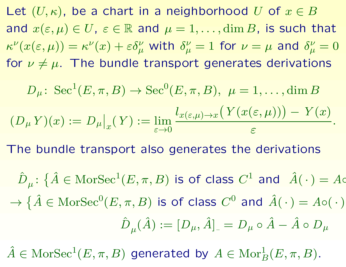Let  $(U,\kappa)$ , be a chart in a neighborhood U of  $x\in B$ and  $x(\varepsilon,\mu) \in U$ ,  $\varepsilon \in \mathbb{R}$  and  $\mu = 1, \ldots, \dim B$ , is such that  $\kappa^{\nu}(x(\varepsilon,\mu))=\kappa^{\nu}(x)+\varepsilon\delta_{\mu}^{\nu}$  with  $\delta_{\mu}^{\nu}$  $\frac{\nu}{\mu}=1$  for  $\nu=\mu$  and  $\delta_{\mu}^{\nu}$  $\frac{\nu}{\mu}=0$ for  $\nu \neq \mu$ . The bundle transport generates derivations

$$
D_{\mu} \colon \operatorname{Sec}^{1}(E, \pi, B) \to \operatorname{Sec}^{0}(E, \pi, B), \ \mu = 1, \dots, \dim B
$$

$$
(D_{\mu} Y)(x) := D_{\mu}|_{x}(Y) := \lim_{\varepsilon \to 0} \frac{l_{x(\varepsilon, \mu) \to x}(Y(x(\varepsilon, \mu))) - Y(x)}{\varepsilon}.
$$

The bundle transport also generates the derivations

 $\hat{D}_{\mu} \colon \{\hat{A} \in \mathop{\rm Mor}\nolimits \mathop{{\rm Sec}}\nolimits^1(E,\pi,B) \, \text{ is of class } \, C^1 \text{ and } \, \;\hat{A}(\,\cdot\,) = A{\infty}\}$  $\rightarrow \{\hat{A} \in \text{MorSec}^{0}(E,\pi,B) \text{ is of class } C^{0} \text{ and } \hat{A}(\cdot) = A \circ (\cdot)$  ${\hat D}_\mu({\hat A}):=[D_\mu,{\hat A}]_-=D_\mu\circ{\hat A}-{\hat A}\circ D_\mu$ 

 $\hat{A} \in \text{MorSec}^1(E, \pi, B)$  generated by  $A \in \text{Mor}^1_B(E, \pi, B)$ .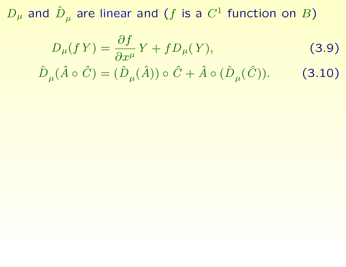$D_{\mu}$  and  $\hat{D}_{\mu}$  are linear and (f is a  $C^{1}$  function on B)

$$
D_{\mu}(fY) = \frac{\partial f}{\partial x^{\mu}}Y + fD_{\mu}(Y),
$$
 (3.9)

$$
\hat{D}_{\mu}(\hat{A} \circ \hat{C}) = (\hat{D}_{\mu}(\hat{A})) \circ \hat{C} + \hat{A} \circ (\hat{D}_{\mu}(\hat{C})).
$$
 (3.10)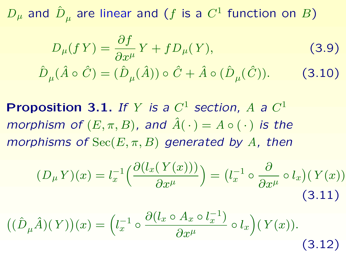$D_{\mu}$  and  $\hat{D}_{\mu}$  are linear and (f is a  $C^{1}$  function on B)

$$
D_{\mu}(fY) = \frac{\partial f}{\partial x^{\mu}} Y + f D_{\mu}(Y),
$$
  

$$
\hat{D}_{\mu}(\hat{A} \circ \hat{C}) = (\hat{D}_{\mu}(\hat{A})) \circ \hat{C} + \hat{A} \circ (\hat{D}_{\mu}(\hat{C})).
$$
 (3.10)

Proposition 3.1. If Y is a  $C^1$  section, A a  $C^1$ morphism of  $(E, \pi, B)$ , and  $\hat{A}(\cdot) = A \circ (\cdot)$  is the morphisms of  $\text{Sec}(E, \pi, B)$  generated by A, then

$$
(D_{\mu} Y)(x) = l_x^{-1} \left( \frac{\partial (l_x(Y(x)))}{\partial x^{\mu}} \right) = (l_x^{-1} \circ \frac{\partial}{\partial x^{\mu}} \circ l_x)(Y(x))
$$
\n(3.11)

$$
((\hat{D}_{\mu}\hat{A})(Y))(x) = \left(l_x^{-1} \circ \frac{\partial(l_x \circ A_x \circ l_x^{-1})}{\partial x^{\mu}} \circ l_x\right)(Y(x)).
$$
\n(3.12)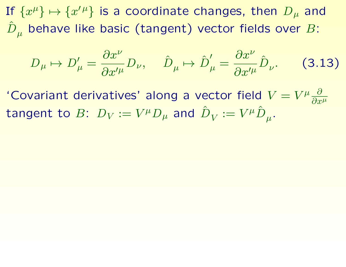If  $\{x^{\mu}\}\mapsto\{x^{\prime\mu}\}$  is a coordinate changes, then  $D_{\mu}$  and  $\hat{D}_{\mu}$  behave like basic (tangent) vector fields over B:

$$
D_{\mu} \mapsto D'_{\mu} = \frac{\partial x^{\nu}}{\partial x'^{\mu}} D_{\nu}, \quad \hat{D}_{\mu} \mapsto \hat{D}'_{\mu} = \frac{\partial x^{\nu}}{\partial x'^{\mu}} \hat{D}_{\nu}.
$$
 (3.13)

'Covariant derivatives' along a vector field  $V = V^{\mu} \frac{\partial}{\partial x}$  $\overline{\partial x^\mu}$ tangent to  $B\colon\,D_V:=V^\mu D_\mu$  and  ${\hat D}_V:=V^\mu {\hat D}_\mu.$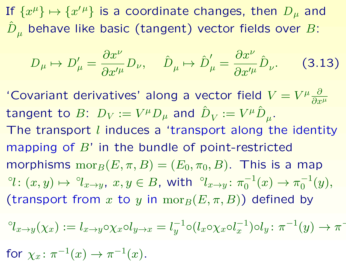If  $\{x^{\mu}\}\mapsto\{x^{\prime\mu}\}$  is a coordinate changes, then  $D_{\mu}$  and  $\hat{D}_{\mu}$  behave like basic (tangent) vector fields over B:

$$
D_{\mu} \mapsto D'_{\mu} = \frac{\partial x^{\nu}}{\partial x'^{\mu}} D_{\nu}, \quad \hat{D}_{\mu} \mapsto \hat{D}'_{\mu} = \frac{\partial x^{\nu}}{\partial x'^{\mu}} \hat{D}_{\nu}.
$$
 (3.13)

'Covariant derivatives' along a vector field  $V = V^{\mu} \frac{\partial}{\partial x}$  $\overline{\partial x^\mu}$ tangent to  $B\colon\,D_V:=V^\mu D_\mu$  and  ${\hat D}_V:=V^\mu {\hat D}_\mu.$ The transport  $l$  induces a 'transport along the identity mapping of  $B'$  in the bundle of point-restricted morphisms  $\mathrm{mor}_B(E, \pi, B) = (E_0, \pi_0, B)$ . This is a map  ${}^{\circ}\!l\colon (x,y)\mapsto {}^{\circ}\!l_{x\to y}, \ x,y\in B, \ \text{with}\ \ {}^{\circ}\!l_{x\to y}\colon \pi_0^{-1}$  $_{0}^{-1}(x) \to \pi_0^{-1}$  $_{0}^{-1}(y),$ (transport from x to y in  $\mathrm{mor}_B(E, \pi, B)$ ) defined by

<span id="page-27-0"></span>
$$
^{\circ}l_{x\to y}(\chi_x) := l_{x\to y}\circ \chi_x \circ l_{y\to x} = l_y^{-1} \circ (l_x \circ \chi_x \circ l_x^{-1}) \circ l_y : \pi^{-1}(y) \to \pi^{-1}(y)
$$

for  $\chi_x \colon \pi^{-1}(x) \to \pi^{-1}(x)$ .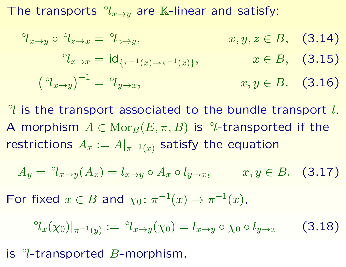The transports  $\partial_{x\to y}$  are K-linear and satisfy:

$$
{}^{\circ}l_{x \to y} \circ {}^{\circ}l_{z \to x} = {}^{\circ}l_{z \to y}, \qquad x, y, z \in B, \quad (3.14)
$$

$$
{}^{\circ}l_{x \to x} = \mathrm{id}_{\{\pi^{-1}(x) \to \pi^{-1}(x)\}}, \qquad x \in B, \quad (3.15)
$$

$$
\left({}^{\circ}l_{x \to y}\right)^{-1} = {}^{\circ}l_{y \to x}, \qquad x, y \in B. \quad (3.16)
$$

 $\alpha$  is the transport associated to the bundle transport  $l$ . A morphism  $A \in \text{Mor}_B(E, \pi, B)$  is  $\degree$ l-transported if the restrictions  $A_x := A|_{\pi^{-1}(x)}$  satisfy the equation

$$
A_y = {}^{\circ}l_{x \to y}(A_x) = l_{x \to y} \circ A_x \circ l_{y \to x}, \qquad x, y \in B. \quad (3.17)
$$

For fixed  $x \in B$  and  $\chi_0: \pi^{-1}(x) \to \pi^{-1}(x)$ ,

$$
{}^{\circ}l_x(\chi_0)|_{\pi^{-1}(y)} := {}^{\circ}l_{x \to y}(\chi_0) = l_{x \to y} \circ \chi_0 \circ l_{y \to x}
$$
 (3.18)

is ◦ l-transported B-morphism.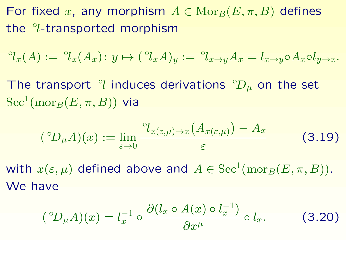For fixed x, any morphism  $A \in \text{Mor}_B(E, \pi, B)$  defines the <sup>o</sup>l-transported morphism

$$
{}^{\circ}l_x(A) := {}^{\circ}l_x(A_x) : y \mapsto ({}^{\circ}l_xA)_y := {}^{\circ}l_{x \to y}A_x = l_{x \to y} \circ A_x \circ l_{y \to x}.
$$

The transport  $\partial U$  induces derivations  $\partial D_{\mu}$  on the set  $\mathrm{Sec}^1(\mathrm{mor}_B(E,\pi,B))$  via

$$
({}^{\circ}D_{\mu}A)(x) := \lim_{\varepsilon \to 0} \frac{{}^{\circ}l_{x(\varepsilon,\mu)\to x}(A_{x(\varepsilon,\mu)}) - A_x}{\varepsilon} \tag{3.19}
$$

with  $x(\varepsilon,\mu)$  defined above and  $A\in\mathrm{Sec}^1(\mathrm{mor}_B(E,\pi,B)).$ We have

$$
({}^{\circ}D_{\mu}A)(x) = l_x^{-1} \circ \frac{\partial (l_x \circ A(x) \circ l_x^{-1})}{\partial x^{\mu}} \circ l_x.
$$
 (3.20)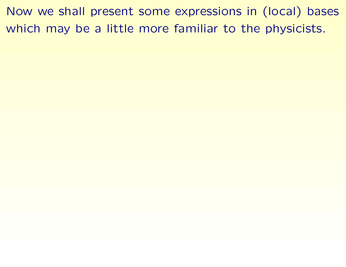Now we shall present some expressions in (local) bases which may be a little more familiar to the physicists.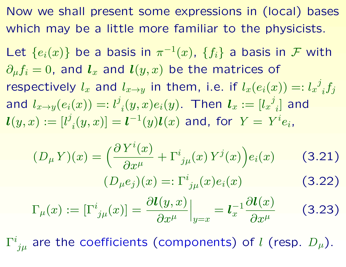Now we shall present some expressions in (local) bases which may be a little more familiar to the physicists.

Let  $\{e_i(x)\}$  be a basis in  $\pi^{-1}(x)$ ,  $\{f_i\}$  a basis in  $\mathcal F$  with  $\partial_\mu f_i = 0$ , and  $\boldsymbol{l}_x$  and  $\boldsymbol{l}(y,x)$  be the matrices of respectively  $l_x$  and  $l_{x\to y}$  in them, i.e. if  $l_x(e_i(x))=:l_x{}^j$  $_{i} \overline{f_{j}}$ and  $l_{x \to y} (e_i(x)) =: l^j$  $\bm{l}_i(y,x)e_i(y).$  Then  $\bm{l}_x:=[l_x{}^j]$  $_i$ ] and  $\bm{l}(y,x):=[l^j$  $\boldsymbol{y}_i(y,x)]=\boldsymbol{l}^{-1}(y)\boldsymbol{l}(x)$  and, for  $Y=\,Y^i e_i$ ,

$$
(D_{\mu} Y)(x) = \left(\frac{\partial Y^{i}(x)}{\partial x^{\mu}} + \Gamma^{i}_{j\mu}(x) Y^{j}(x)\right) e_{i}(x)
$$
(3.21)  

$$
(D_{\mu} e_{j})(x) =: \Gamma^{i}_{j\mu}(x) e_{i}(x)
$$
(3.22)

$$
\Gamma_{\mu}(x) := \left[\Gamma^{i}_{j\mu}(x)\right] = \frac{\partial l(y, x)}{\partial x^{\mu}}\Big|_{y=x} = l_{x}^{-1} \frac{\partial l(x)}{\partial x^{\mu}}
$$
(3.23)

 $\Gamma^{i}_{\ j\mu}$  are the coefficients (components) of  $l$  (resp.  $D_{\mu}$ ).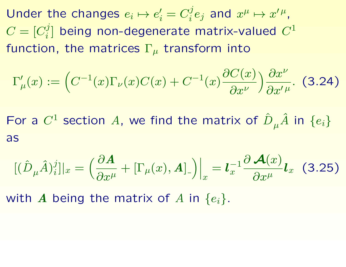Under the changes  $e_i \mapsto e'_i$  $\boldsymbol{h}'_i=C^j_i$  $x^j e_j$  and  $x^\mu \mapsto x^{\prime \, \mu}$ ,  $C=[C_i^j]$  $\binom{[j]}{i}$  being non-degenerate matrix-valued  $C^1$ function, the matrices  $\Gamma_{\mu}$  transform into

$$
\Gamma'_{\mu}(x) := \left( C^{-1}(x) \Gamma_{\nu}(x) C(x) + C^{-1}(x) \frac{\partial C(x)}{\partial x^{\nu}} \right) \frac{\partial x^{\nu}}{\partial x^{\prime \mu}}. \tag{3.24}
$$

For a  $C^1$  section A, we find the matrix of  $\hat{D}_{\mu}\hat{A}$  in  $\{e_i\}$ as

$$
[(\hat{D}_{\mu}\hat{A})_{i}^{j}]|_{x} = \left(\frac{\partial A}{\partial x^{\mu}} + [\Gamma_{\mu}(x), A]_{-}\right)\Big|_{x} = \mathbf{I}_{x}^{-1} \frac{\partial A(x)}{\partial x^{\mu}} \mathbf{I}_{x} \quad (3.25)
$$

with A being the matrix of A in  $\{e_i\}.$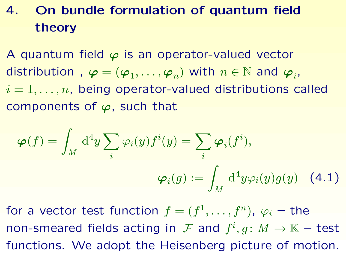# 4. On bundle formulation of quantum field theory

A quantum field  $\varphi$  is an operator-valued vector distribution,  $\boldsymbol{\varphi} = (\boldsymbol{\varphi}_1, \dots, \boldsymbol{\varphi}_n)$  with  $n \in \mathbb{N}$  and  $\boldsymbol{\varphi}_i$ ,  $i = 1, \ldots, n$ , being operator-valued distributions called components of  $\varphi$ , such that

<span id="page-33-0"></span>
$$
\boldsymbol{\varphi}(f) = \int_M \mathrm{d}^4 y \sum_i \varphi_i(y) f^i(y) = \sum_i \boldsymbol{\varphi}_i(f^i),
$$

$$
\boldsymbol{\varphi}_i(g) := \int_M \mathrm{d}^4 y \varphi_i(y) g(y) \quad (4.1)
$$

for a vector test function  $f=(f^1,\ldots,f^n)$ ,  $\varphi_i$  – the non-smeared fields acting in  $\mathcal F$  and  $f^i, g \colon M \to \mathbb K$  - test functions. We adopt the Heisenberg picture of motion.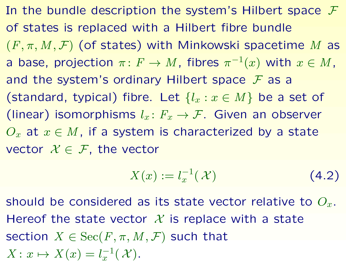In the bundle description the system's Hilbert space  $\mathcal F$ of states is replaced with a Hilbert fibre bundle  $(F, \pi, M, \mathcal{F})$  (of states) with Minkowski spacetime M as a base, projection  $\pi\colon F\to M$ , fibres  $\pi^{-1}(x)$  with  $x\in M$ , and the system's ordinary Hilbert space  $F$  as a (standard, typical) fibre. Let  $\{l_x : x \in M\}$  be a set of (linear) isomorphisms  $l_x: F_x \to \mathcal{F}$ . Given an observer  $O_x$  at  $x \in M$ , if a system is characterized by a state vector  $X \in \mathcal{F}$ , the vector

$$
X(x) := l_x^{-1}(\mathcal{X}) \tag{4.2}
$$

should be considered as its state vector relative to  $O_x$ . Hereof the state vector  $\mathcal X$  is replace with a state section  $X \in \mathrm{Sec}(F, \pi, M, \mathcal{F})$  such that  $X: x \mapsto X(x) = l_x^{-1}$  $_{x}^{-1}(\mathcal{X}).$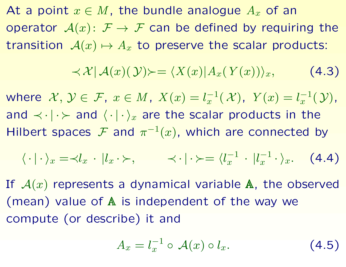At a point  $x \in M$ , the bundle analogue  $A_x$  of an operator  $A(x)$ :  $F \rightarrow F$  can be defined by requiring the transition  $A(x) \mapsto A_x$  to preserve the scalar products:

<span id="page-35-0"></span>
$$
\langle x | A(x)(y) \rangle = \langle X(x) | A_x(Y(x)) \rangle_x, \qquad (4.3)
$$

where  $\mathcal{X},\,\mathcal{Y}\in\,\mathcal{F},\;x\in M,\;X(x)=l_x^{-1}$  $x^{-1}(\mathcal{X}), \ \ Y(x) = l_x^{-1}$  $_{x}^{-1}(\mathcal{Y}),$ and  $\langle \cdot | \cdot \rangle_x$  are the scalar products in the Hilbert spaces F and  $\pi^{-1}(x)$ , which are connected by

$$
\langle \cdot | \cdot \rangle_x = \langle l_x \cdot | l_x \cdot \rangle, \qquad \langle \cdot | \cdot \rangle = \langle l_x^{-1} \cdot | l_x^{-1} \cdot \rangle_x. \tag{4.4}
$$

If  $A(x)$  represents a dynamical variable  $A$ , the observed (mean) value of A is independent of the way we compute (or describe) it and

$$
A_x = l_x^{-1} \circ \mathcal{A}(x) \circ l_x. \tag{4.5}
$$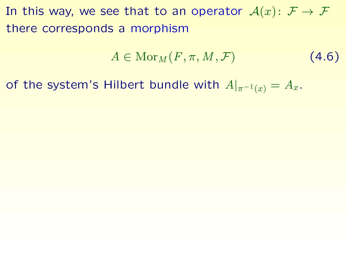In this way, we see that to an operator  $\mathcal{A}(x) \colon \mathcal{F} \to \mathcal{F}$ there corresponds a morphism

$$
A \in \operatorname{Mor}_M(F, \pi, M, \mathcal{F}) \tag{4.6}
$$

of the system's Hilbert bundle with  $A|_{\pi^{-1}(x)} = A_x$ .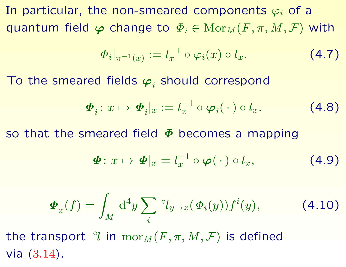In particular, the non-smeared components  $\varphi_i$  of a quantum field  $\varphi$  change to  $\Phi_i \in \text{Mor}_M(F, \pi, M, \mathcal{F})$  with

$$
\Phi_i|_{\pi^{-1}(x)} := l_x^{-1} \circ \varphi_i(x) \circ l_x. \tag{4.7}
$$

To the smeared fields  $\boldsymbol{\varphi}_i$  should correspond

$$
\boldsymbol{\Phi}_i: x \mapsto \boldsymbol{\Phi}_i|_x := l_x^{-1} \circ \boldsymbol{\varphi}_i(\,\cdot\,) \circ l_x. \tag{4.8}
$$

so that the smeared field  $\Phi$  becomes a mapping

$$
\boldsymbol{\Phi}: x \mapsto \boldsymbol{\Phi}|_x = l_x^{-1} \circ \boldsymbol{\varphi}(\,\cdot\,)\circ l_x,\tag{4.9}
$$

$$
\boldsymbol{\Phi}_x(f) = \int_M \mathrm{d}^4 y \sum_i \, \mathcal{O}_{y \to x}(\boldsymbol{\Phi}_i(y)) f^i(y), \tag{4.10}
$$

the transport  $\partial$  in  $\mathrm{mor}_M(F,\pi,M,\mathcal{F})$  is defined via [\(3.14\)](#page-27-0).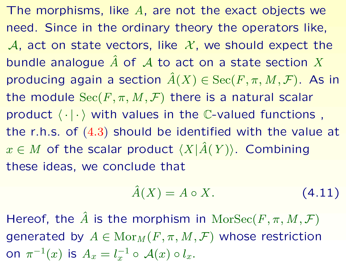The morphisms, like  $A$ , are not the exact objects we need. Since in the ordinary theory the operators like, A, act on state vectors, like  $\mathcal{X}$ , we should expect the bundle analogue  $\hat{A}$  of  $\cal{A}$  to act on a state section  $X$ producing again a section  $\hat{A}(X) \in \text{Sec}(F, \pi, M, \mathcal{F})$ . As in the module  $\text{Sec}(F, \pi, M, \mathcal{F})$  there is a natural scalar product  $\langle \cdot | \cdot \rangle$  with values in the C-valued functions, the r.h.s. of [\(4.3\)](#page-35-0) should be identified with the value at  $x \in M$  of the scalar product  $\langle X|\hat{A}(Y)\rangle$ . Combining these ideas, we conclude that

$$
\hat{A}(X) = A \circ X. \tag{4.11}
$$

Hereof, the  $\hat{A}$  is the morphism in  $\text{MorSec}(F, \pi, M, \mathcal{F})$ generated by  $A \in \text{Mor}_M(F, \pi, M, \mathcal{F})$  whose restriction on  $\pi^{-1}(x)$  is  $A_x=l_x^{-1}$  $_{x}^{-1}\circ\,\mathcal{A}(x)\circ l_{x}.$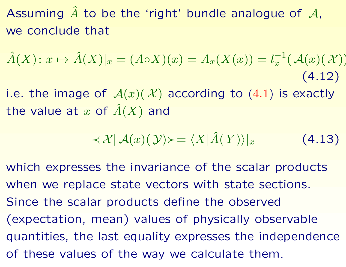Assuming  $\hat{A}$  to be the 'right' bundle analogue of  $\mathcal{A}$ , we conclude that

$$
\hat{A}(X): x \mapsto \hat{A}(X)|_x = (A \circ X)(x) = A_x(X(x)) = l_x^{-1}(\mathcal{A}(x)(\mathcal{X}))
$$
\n(4.12)

i.e. the image of  $\mathcal{A}(x)(\mathcal{X})$  according to  $(4.1)$  is exactly the value at x of  $\hat{A}(X)$  and

$$
\langle \mathcal{X} | \mathcal{A}(x)(\mathcal{Y}) \rangle = \langle X | \hat{A}(Y) \rangle |_{x}
$$
 (4.13)

which expresses the invariance of the scalar products when we replace state vectors with state sections. Since the scalar products define the observed (expectation, mean) values of physically observable quantities, the last equality expresses the independence of these values of the way we calculate them.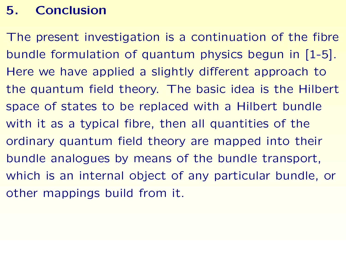# 5. Conclusion

The present investigation is a continuation of the fibre bundle formulation of quantum physics begun in [1-5]. Here we have applied a slightly different approach to the quantum field theory. The basic idea is the Hilbert space of states to be replaced with a Hilbert bundle with it as a typical fibre, then all quantities of the ordinary quantum field theory are mapped into their bundle analogues by means of the bundle transport, which is an internal object of any particular bundle, or other mappings build from it.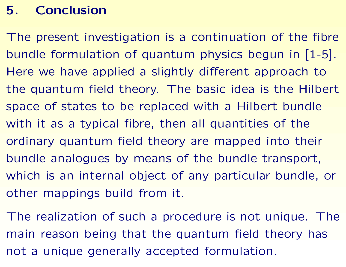# 5. Conclusion

The present investigation is a continuation of the fibre bundle formulation of quantum physics begun in [1-5]. Here we have applied a slightly different approach to the quantum field theory. The basic idea is the Hilbert space of states to be replaced with a Hilbert bundle with it as a typical fibre, then all quantities of the ordinary quantum field theory are mapped into their bundle analogues by means of the bundle transport, which is an internal object of any particular bundle, or other mappings build from it.

The realization of such a procedure is not unique. The main reason being that the quantum field theory has not a unique generally accepted formulation.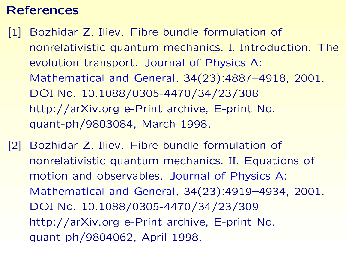## References

- [1] Bozhidar Z. Iliev. Fibre bundle formulation of nonrelativistic quantum mechanics. I. Introduction. The evolution transport. Journal of Physics A: Mathematical and General, 34(23):4887–4918, 2001. DOI No. 10.1088/0305-4470/34/23/308 http://arXiv.org e-Print archive, E-print No. quant-ph/9803084, March 1998.
- [2] Bozhidar Z. Iliev. Fibre bundle formulation of nonrelativistic quantum mechanics. II. Equations of motion and observables. Journal of Physics A: Mathematical and General, 34(23):4919–4934, 2001. DOI No. 10.1088/0305-4470/34/23/309 http://arXiv.org e-Print archive, E-print No. quant-ph/9804062, April 1998.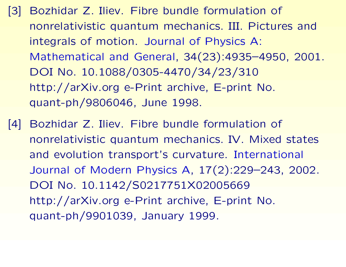- [3] Bozhidar Z. Iliev. Fibre bundle formulation of nonrelativistic quantum mechanics. III. Pictures and integrals of motion. Journal of Physics A: Mathematical and General, 34(23):4935–4950, 2001. DOI No. 10.1088/0305-4470/34/23/310 http://arXiv.org e-Print archive, E-print No. quant-ph/9806046, June 1998.
- [4] Bozhidar Z. Iliev. Fibre bundle formulation of nonrelativistic quantum mechanics. IV. Mixed states and evolution transport's curvature. International Journal of Modern Physics A, 17(2):229–243, 2002. DOI No. 10.1142/S0217751X02005669 http://arXiv.org e-Print archive, E-print No. quant-ph/9901039, January 1999.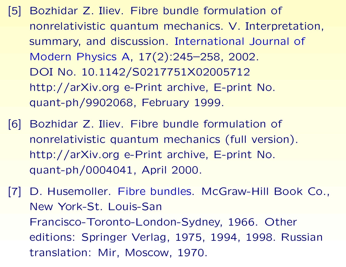- [5] Bozhidar Z. Iliev. Fibre bundle formulation of nonrelativistic quantum mechanics. V. Interpretation, summary, and discussion. International Journal of Modern Physics A, 17(2):245–258, 2002. DOI No. 10.1142/S0217751X02005712 http://arXiv.org e-Print archive, E-print No. quant-ph/9902068, February 1999.
- [6] Bozhidar Z. Iliev. Fibre bundle formulation of nonrelativistic quantum mechanics (full version). http://arXiv.org e-Print archive, E-print No. quant-ph/0004041, April 2000.
- [7] D. Husemoller. Fibre bundles. McGraw-Hill Book Co., New York-St. Louis-San Francisco-Toronto-London-Sydney, 1966. Other editions: Springer Verlag, 1975, 1994, 1998. Russian translation: Mir, Moscow, 1970.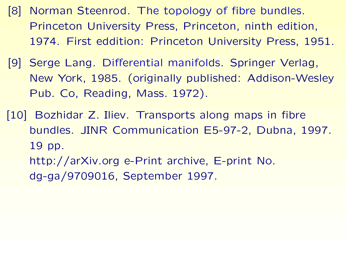- [8] Norman Steenrod. The topology of fibre bundles. Princeton University Press, Princeton, ninth edition, 1974. First eddition: Princeton University Press, 1951.
- [9] Serge Lang. Differential manifolds. Springer Verlag, New York, 1985. (originally published: Addison-Wesley Pub. Co, Reading, Mass. 1972).
- [10] Bozhidar Z. Iliev. Transports along maps in fibre bundles. JINR Communication E5-97-2, Dubna, 1997. 19 pp. http://arXiv.org e-Print archive, E-print No. dg-ga/9709016, September 1997.